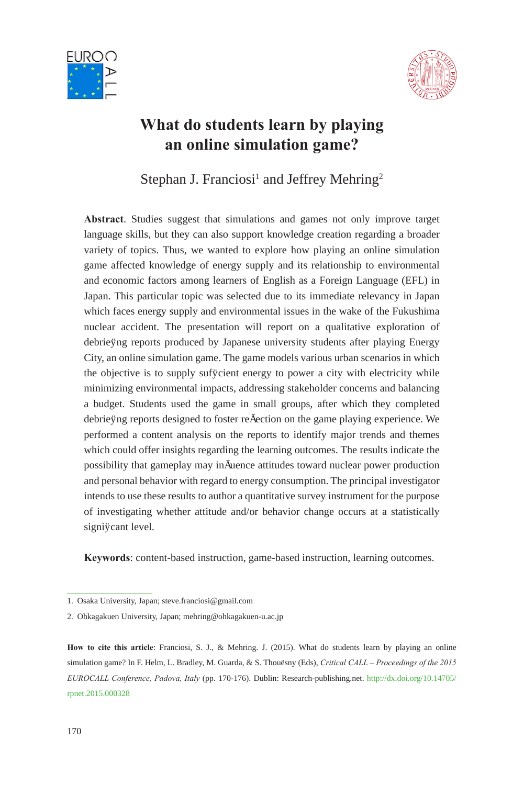



# **What do students learn by playing an online simulation game?**

Stephan J. Franciosi<sup>1</sup> and Jeffrey Mehring<sup>2</sup>

**Abstract**. Studies suggest that simulations and games not only improve target language skills, but they can also support knowledge creation regarding a broader variety of topics. Thus, we wanted to explore how playing an online simulation game affected knowledge of energy supply and its relationship to environmental and economic factors among learners of English as a Foreign Language (EFL) in Japan. This particular topic was selected due to its immediate relevancy in Japan which faces energy supply and environmental issues in the wake of the Fukushima nuclear accident. The presentation will report on a qualitative exploration of debriefing reports produced by Japanese university students after playing Energy City, an online simulation game. The game models various urban scenarios in which the objective is to supply sufficient energy to power a city with electricity while minimizing environmental impacts, addressing stakeholder concerns and balancing a budget. Students used the game in small groups, after which they completed debriefing reports designed to foster reflection on the game playing experience. We performed a content analysis on the reports to identify major trends and themes which could offer insights regarding the learning outcomes. The results indicate the possibility that gameplay may influence attitudes toward nuclear power production and personal behavior with regard to energy consumption. The principal investigator intends to use these results to author a quantitative survey instrument for the purpose of investigating whether attitude and/or behavior change occurs at a statistically significant level.

**Keywords**: content-based instruction, game-based instruction, learning outcomes.

<sup>1.</sup> Osaka University, Japan; steve.franciosi@gmail.com

<sup>2.</sup> Ohkagakuen University, Japan; mehring@ohkagakuen-u.ac.jp

**How to cite this article**: Franciosi, S. J., & Mehring. J. (2015). What do students learn by playing an online simulation game? In F. Helm, L. Bradley, M. Guarda, & S. Thouësny (Eds), *Critical CALL – Proceedings of the 2015 EUROCALL Conference, Padova, Italy* (pp. 170-176). Dublin: Research-publishing.net. [http://dx.doi.org/10.14705/](http://dx.doi.org/10.14705/rpnet.2015.000328) [rpnet.2015.000328](http://dx.doi.org/10.14705/rpnet.2015.000328)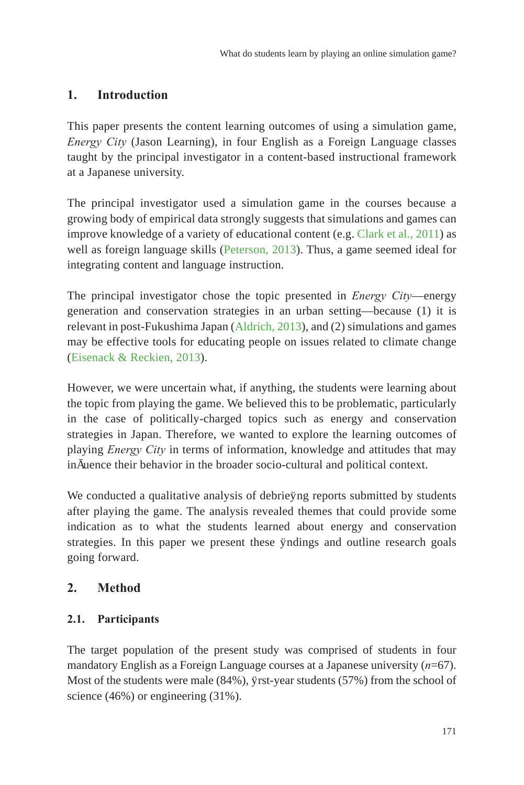# **1. Introduction**

This paper presents the content learning outcomes of using a simulation game, *Energy City* (Jason Learning), in four English as a Foreign Language classes taught by the principal investigator in a content-based instructional framework at a Japanese university.

The principal investigator used a simulation game in the courses because a growing body of empirical data strongly suggests that simulations and games can improve knowledge of a variety of educational content (e.g. Clark et al., 2011) as well as foreign language skills ([Peterson, 2013](#page-6-0)). Thus, a game seemed ideal for integrating content and language instruction.

The principal investigator chose the topic presented in *Energy City*—energy generation and conservation strategies in an urban setting—because (1) it is relevant in post-Fukushima Japan [\(Aldrich, 2013\)](#page-5-0), and (2) simulations and games may be effective tools for educating people on issues related to climate change [\(Eisenack & Reckien, 2013](#page-5-1)).

However, we were uncertain what, if anything, the students were learning about the topic from playing the game. We believed this to be problematic, particularly in the case of politically-charged topics such as energy and conservation strategies in Japan. Therefore, we wanted to explore the learning outcomes of playing *Energy City* in terms of information, knowledge and attitudes that may influence their behavior in the broader socio-cultural and political context.

We conducted a qualitative analysis of debriefing reports submitted by students after playing the game. The analysis revealed themes that could provide some indication as to what the students learned about energy and conservation strategies. In this paper we present these findings and outline research goals going forward.

# **2. Method**

## **2.1. Participants**

The target population of the present study was comprised of students in four mandatory English as a Foreign Language courses at a Japanese university (*n*=67). Most of the students were male (84%), first-year students (57%) from the school of science (46%) or engineering (31%).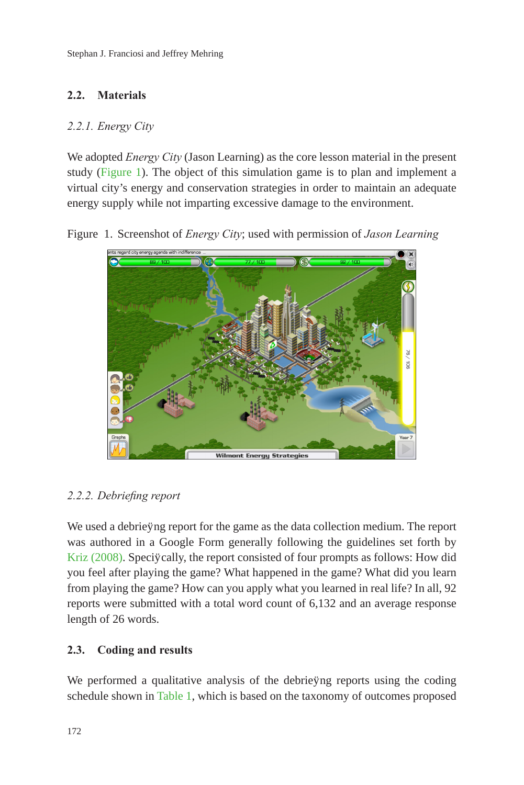## **2.2. Materials**

#### *2.2.1. Energy City*

We adopted *Energy City* (Jason Learning) as the core lesson material in the present study [\(Figure 1](#page-2-0)). The object of this simulation game is to plan and implement a virtual city's energy and conservation strategies in order to maintain an adequate energy supply while not imparting excessive damage to the environment.

Figure 1. Screenshot of *Energy City*; used with permission of *Jason Learning*

<span id="page-2-0"></span>

## *2.2.2. Debriefing report*

We used a debriefing report for the game as the data collection medium. The report was authored in a Google Form generally following the guidelines set forth by [Kriz \(2008\)](#page-6-1). Specifically, the report consisted of four prompts as follows: How did you feel after playing the game? What happened in the game? What did you learn from playing the game? How can you apply what you learned in real life? In all, 92 reports were submitted with a total word count of 6,132 and an average response length of 26 words.

## **2.3. Coding and results**

We performed a qualitative analysis of the debriefing reports using the coding schedule shown in [Table 1,](#page-3-0) which is based on the taxonomy of outcomes proposed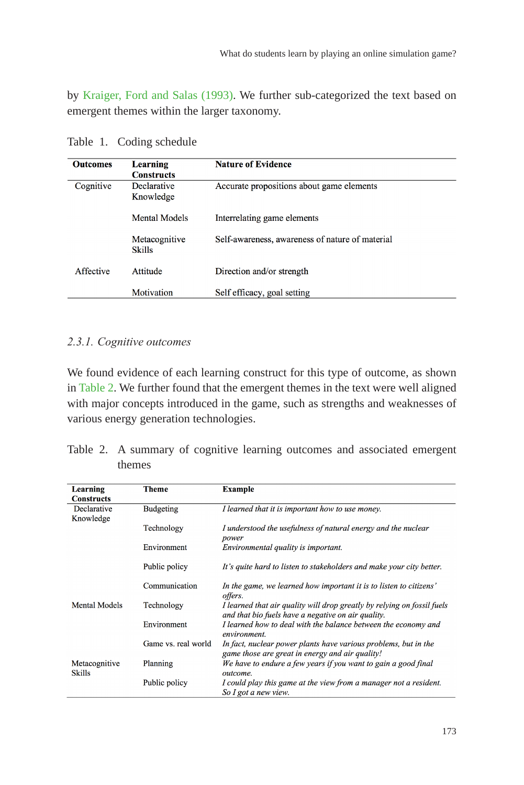by [Kraiger, Ford and Salas \(1993\)](#page-5-2). We further sub-categorized the text based on emergent themes within the larger taxonomy.

| <b>Outcomes</b> | Learning<br><b>Constructs</b>  | <b>Nature of Evidence</b>                       |
|-----------------|--------------------------------|-------------------------------------------------|
| Cognitive       | Declarative<br>Knowledge       | Accurate propositions about game elements       |
|                 | Mental Models                  | Interrelating game elements                     |
|                 | Metacognitive<br><b>Skills</b> | Self-awareness, awareness of nature of material |
| Affective       | Attitude                       | Direction and/or strength                       |
|                 | Motivation                     | Self efficacy, goal setting                     |

<span id="page-3-0"></span>Table 1. Coding schedule

#### *2.3.1. Cognitive outcomes*

We found evidence of each learning construct for this type of outcome, as shown in [Table 2.](#page-3-1) We further found that the emergent themes in the text were well aligned with major concepts introduced in the game, such as strengths and weaknesses of various energy generation technologies.

<span id="page-3-1"></span>

| Table 2. A summary of cognitive learning outcomes and associated emergent |  |  |  |
|---------------------------------------------------------------------------|--|--|--|
| themes                                                                    |  |  |  |

| Learning<br><b>Constructs</b> | <b>Theme</b>        | <b>Example</b>                                                                                                                |  |
|-------------------------------|---------------------|-------------------------------------------------------------------------------------------------------------------------------|--|
| Declarative<br>Knowledge      | <b>Budgeting</b>    | I learned that it is important how to use money.                                                                              |  |
|                               | Technology          | I understood the usefulness of natural energy and the nuclear<br>power                                                        |  |
|                               | Environment         | Environmental quality is important.                                                                                           |  |
|                               | Public policy       | It's quite hard to listen to stakeholders and make your city better.                                                          |  |
|                               | Communication       | In the game, we learned how important it is to listen to citizens'<br>offers.                                                 |  |
| <b>Mental Models</b>          | Technology          | I learned that air quality will drop greatly by relying on fossil fuels<br>and that bio fuels have a negative on air quality. |  |
|                               | Environment         | I learned how to deal with the balance between the economy and<br>environment.                                                |  |
|                               | Game vs. real world | In fact, nuclear power plants have various problems, but in the<br>game those are great in energy and air quality!            |  |
| Metacognitive<br>Skills       | Planning            | We have to endure a few years if you want to gain a good final<br>outcome.                                                    |  |
|                               | Public policy       | I could play this game at the view from a manager not a resident.<br>So I got a new view.                                     |  |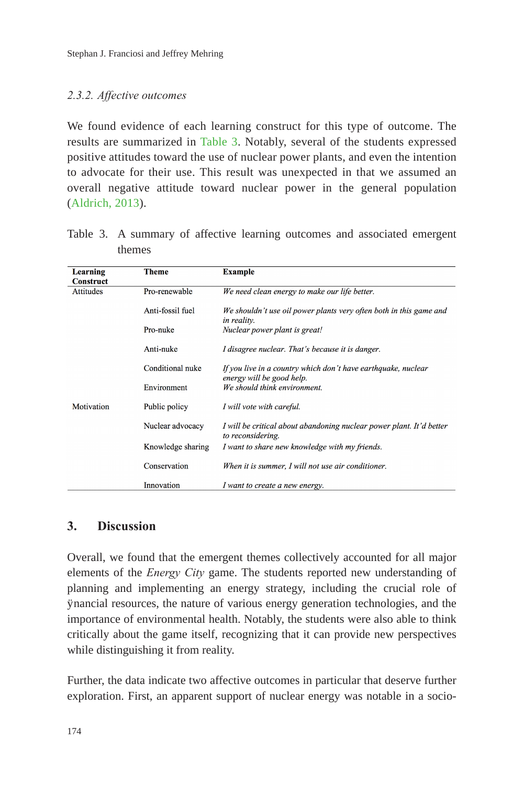#### *2.3.2. Affective outcomes*

We found evidence of each learning construct for this type of outcome. The results are summarized in [Table 3.](#page-4-0) Notably, several of the students expressed positive attitudes toward the use of nuclear power plants, and even the intention to advocate for their use. This result was unexpected in that we assumed an overall negative attitude toward nuclear power in the general population [\(Aldrich, 2013\)](#page-5-0).

| Learning         | <b>Theme</b>      | <b>Example</b>                                                                             |
|------------------|-------------------|--------------------------------------------------------------------------------------------|
| Construct        |                   |                                                                                            |
| <b>Attitudes</b> | Pro-renewable     | We need clean energy to make our life better.                                              |
|                  | Anti-fossil fuel  | We shouldn't use oil power plants very often both in this game and<br>in reality.          |
|                  | Pro-nuke          | Nuclear power plant is great!                                                              |
|                  | Anti-nuke         | I disagree nuclear. That's because it is danger.                                           |
|                  | Conditional nuke  | If you live in a country which don't have earthquake, nuclear<br>energy will be good help. |
|                  | Environment       | We should think environment.                                                               |
| Motivation       | Public policy     | I will vote with careful.                                                                  |
|                  | Nuclear advocacy  | I will be critical about abandoning nuclear power plant. It'd better<br>to reconsidering.  |
|                  | Knowledge sharing | I want to share new knowledge with my friends.                                             |
|                  | Conservation      | When it is summer, I will not use air conditioner.                                         |
|                  | Innovation        | I want to create a new energy.                                                             |

<span id="page-4-0"></span>Table 3. A summary of affective learning outcomes and associated emergent themes

## **3. Discussion**

Overall, we found that the emergent themes collectively accounted for all major elements of the *Energy City* game. The students reported new understanding of planning and implementing an energy strategy, including the crucial role of financial resources, the nature of various energy generation technologies, and the importance of environmental health. Notably, the students were also able to think critically about the game itself, recognizing that it can provide new perspectives while distinguishing it from reality.

Further, the data indicate two affective outcomes in particular that deserve further exploration. First, an apparent support of nuclear energy was notable in a socio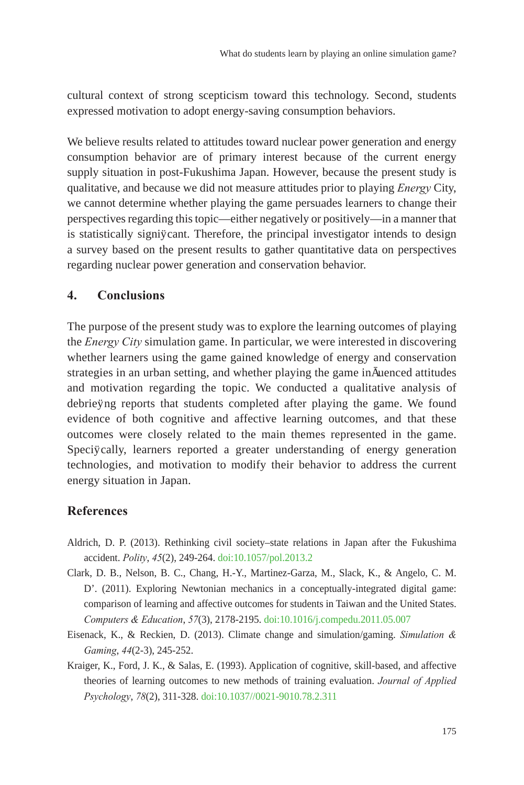cultural context of strong scepticism toward this technology. Second, students expressed motivation to adopt energy-saving consumption behaviors.

We believe results related to attitudes toward nuclear power generation and energy consumption behavior are of primary interest because of the current energy supply situation in post-Fukushima Japan. However, because the present study is qualitative, and because we did not measure attitudes prior to playing *Energy* City, we cannot determine whether playing the game persuades learners to change their perspectives regarding this topic—either negatively or positively—in a manner that is statistically significant. Therefore, the principal investigator intends to design a survey based on the present results to gather quantitative data on perspectives regarding nuclear power generation and conservation behavior.

#### **4. Conclusions**

The purpose of the present study was to explore the learning outcomes of playing the *Energy City* simulation game. In particular, we were interested in discovering whether learners using the game gained knowledge of energy and conservation strategies in an urban setting, and whether playing the game influenced attitudes and motivation regarding the topic. We conducted a qualitative analysis of debriefing reports that students completed after playing the game. We found evidence of both cognitive and affective learning outcomes, and that these outcomes were closely related to the main themes represented in the game. Specifically, learners reported a greater understanding of energy generation technologies, and motivation to modify their behavior to address the current energy situation in Japan.

#### **References**

- <span id="page-5-0"></span>Aldrich, D. P. (2013). Rethinking civil society–state relations in Japan after the Fukushima accident. *Polity*, *45*(2), 249-264. [doi:10.1057/pol.2013.2](http://dx.doi.org/10.1057/pol.2013.2)
- Clark, D. B., Nelson, B. C., Chang, H.-Y., Martinez-Garza, M., Slack, K., & Angelo, C. M. D'. (2011). Exploring Newtonian mechanics in a conceptually-integrated digital game: comparison of learning and affective outcomes for students in Taiwan and the United States. *Computers & Education*, *57*(3), 2178-2195. [doi:10.1016/j.compedu.2011.05.007](http://dx.doi.org/10.1016/j.compedu.2011.05.007)
- <span id="page-5-1"></span>Eisenack, K., & Reckien, D. (2013). Climate change and simulation/gaming. *Simulation & Gaming*, *44*(2-3), 245-252.
- <span id="page-5-2"></span>Kraiger, K., Ford, J. K., & Salas, E. (1993). Application of cognitive, skill-based, and affective theories of learning outcomes to new methods of training evaluation. *Journal of Applied Psychology*, *78*(2), 311-328. [doi:10.1037//0021-9010.78.2.311](http://dx.doi.org/10.1037//0021-9010.78.2.311)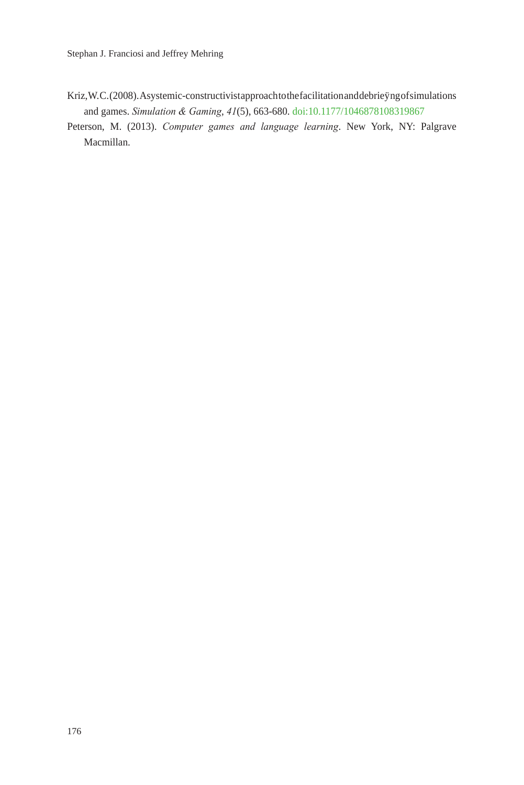- <span id="page-6-1"></span>Kriz, W.C. (2008). A systemic-constructivist approach to the facilitation and debriefing of simulations and games. *Simulation & Gaming*, *41*(5), 663-680. [doi:10.1177/1046878108319867](http://dx.doi.org/10.1177/1046878108319867)
- <span id="page-6-0"></span>Peterson, M. (2013). *Computer games and language learning*. New York, NY: Palgrave Macmillan.